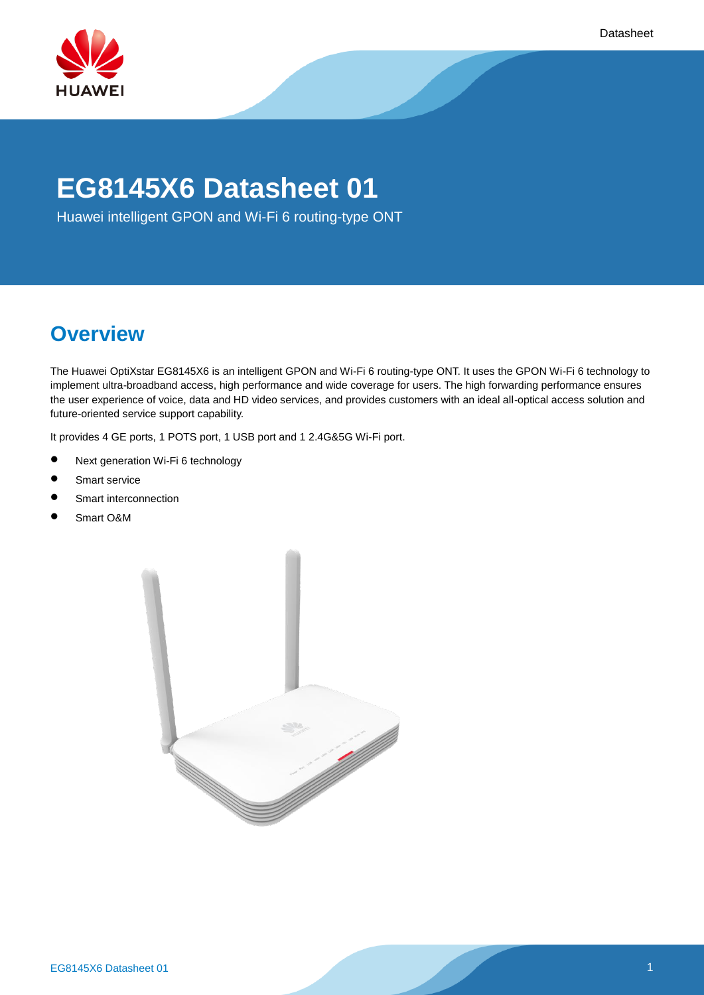

# **EG8145X6 Datasheet 01**

Huawei intelligent GPON and Wi-Fi 6 routing-type ONT

# **Overview**

The Huawei OptiXstar EG8145X6 is an intelligent GPON and Wi-Fi 6 routing-type ONT. It uses the GPON Wi-Fi 6 technology to implement ultra-broadband access, high performance and wide coverage for users. The high forwarding performance ensures the user experience of voice, data and HD video services, and provides customers with an ideal all-optical access solution and future-oriented service support capability.

It provides 4 GE ports, 1 POTS port, 1 USB port and 1 2.4G&5G Wi-Fi port.

- Next generation Wi-Fi 6 technology
- Smart service
- **•** Smart interconnection
- Smart O&M

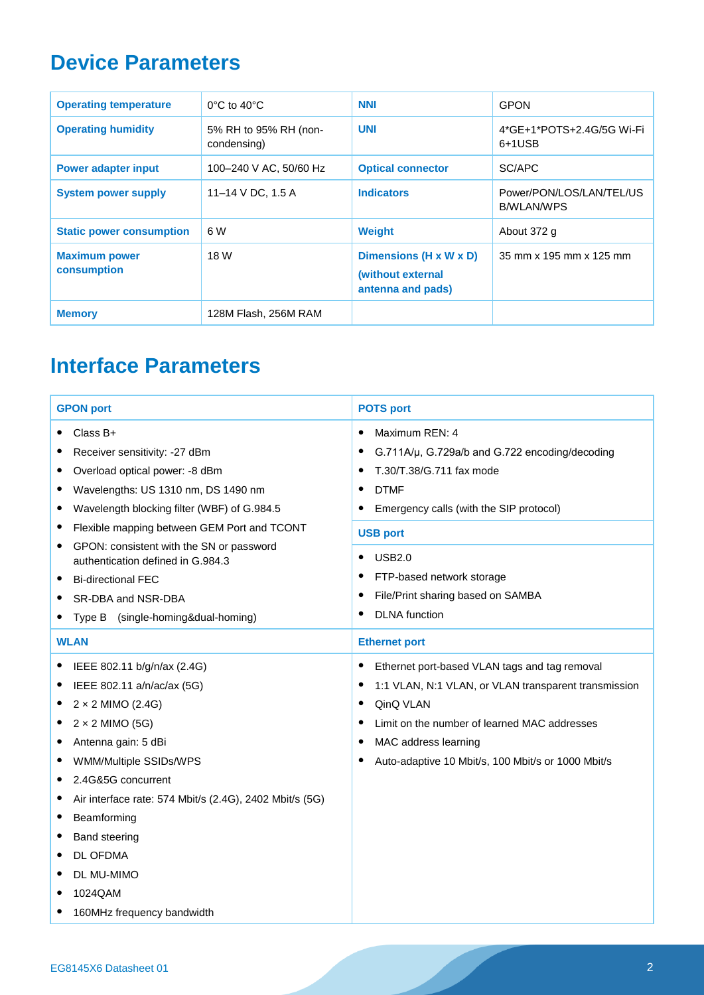## **Device Parameters**

| <b>Operating temperature</b>        | $0^{\circ}$ C to 40 $^{\circ}$ C     | <b>NNI</b>                                                       | <b>GPON</b>                                   |
|-------------------------------------|--------------------------------------|------------------------------------------------------------------|-----------------------------------------------|
| <b>Operating humidity</b>           | 5% RH to 95% RH (non-<br>condensing) | <b>UNI</b>                                                       | 4*GE+1*POTS+2.4G/5G Wi-Fi<br>6+1USB           |
| <b>Power adapter input</b>          | 100-240 V AC, 50/60 Hz               | <b>Optical connector</b>                                         | SC/APC                                        |
| <b>System power supply</b>          | 11-14 V DC, 1.5 A                    | <b>Indicators</b>                                                | Power/PON/LOS/LAN/TEL/US<br><b>B/WLAN/WPS</b> |
| <b>Static power consumption</b>     | 6 W                                  | <b>Weight</b>                                                    | About 372 g                                   |
| <b>Maximum power</b><br>consumption | 18 W                                 | Dimensions (H x W x D)<br>(without external<br>antenna and pads) | 35 mm x 195 mm x 125 mm                       |
| <b>Memory</b>                       | 128M Flash, 256M RAM                 |                                                                  |                                               |

# **Interface Parameters**

| <b>GPON port</b>                                                                                                                                                                                                                                                                                                                                                                              | <b>POTS port</b>                                                                                                                                                                                                                                                                                              |  |
|-----------------------------------------------------------------------------------------------------------------------------------------------------------------------------------------------------------------------------------------------------------------------------------------------------------------------------------------------------------------------------------------------|---------------------------------------------------------------------------------------------------------------------------------------------------------------------------------------------------------------------------------------------------------------------------------------------------------------|--|
| Class B+<br>Receiver sensitivity: -27 dBm<br>Overload optical power: -8 dBm<br>Wavelengths: US 1310 nm, DS 1490 nm<br>Wavelength blocking filter (WBF) of G.984.5<br>Flexible mapping between GEM Port and TCONT<br>GPON: consistent with the SN or password<br>authentication defined in G.984.3<br><b>Bi-directional FEC</b><br>SR-DBA and NSR-DBA<br>(single-homing&dual-homing)<br>Type B | Maximum REN: 4<br>٠<br>G.711A/µ, G.729a/b and G.722 encoding/decoding<br>T.30/T.38/G.711 fax mode<br><b>DTMF</b><br>٠<br>Emergency calls (with the SIP protocol)<br>٠<br><b>USB port</b><br><b>USB2.0</b><br>FTP-based network storage<br>File/Print sharing based on SAMBA<br>٠<br><b>DLNA</b> function<br>٠ |  |
| <b>WLAN</b>                                                                                                                                                                                                                                                                                                                                                                                   | <b>Ethernet port</b>                                                                                                                                                                                                                                                                                          |  |
| IEEE 802.11 b/g/n/ax (2.4G)<br>IEEE 802.11 a/n/ac/ax (5G)<br>$2 \times 2$ MIMO (2.4G)<br>$2 \times 2$ MIMO (5G)<br>Antenna gain: 5 dBi<br>WMM/Multiple SSIDs/WPS<br>2.4G&5G concurrent<br>Air interface rate: 574 Mbit/s (2.4G), 2402 Mbit/s (5G)<br>Beamforming<br><b>Band steering</b><br>DL OFDMA<br>DL MU-MIMO<br>1024QAM<br>160MHz frequency bandwidth                                   | Ethernet port-based VLAN tags and tag removal<br>٠<br>1:1 VLAN, N:1 VLAN, or VLAN transparent transmission<br>QinQ VLAN<br>٠<br>Limit on the number of learned MAC addresses<br>MAC address learning<br>Auto-adaptive 10 Mbit/s, 100 Mbit/s or 1000 Mbit/s                                                    |  |